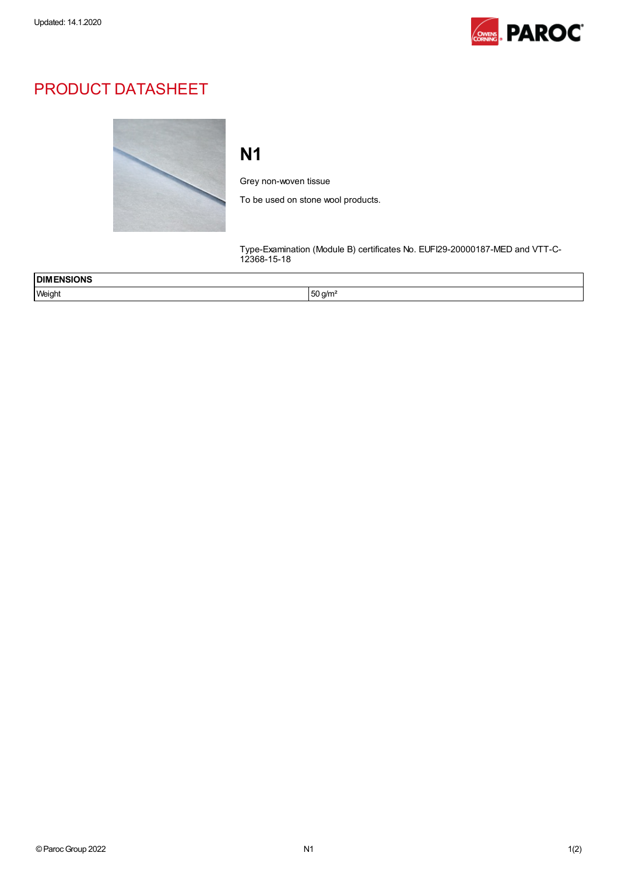

## PRODUCT DATASHEET



## N1

Grey non-woven tissue

To be used on stone wool products.

Type-Examination (Module B) certificates No. EUFI29-20000187-MED and VTT-C-12368-15-18

| <b>DIMENSIONS</b><br>$\sim$ $\sim$ $\sim$ $\sim$ |                            |  |
|--------------------------------------------------|----------------------------|--|
| Weight                                           | $50$ a/m <sup>2</sup><br>◡ |  |